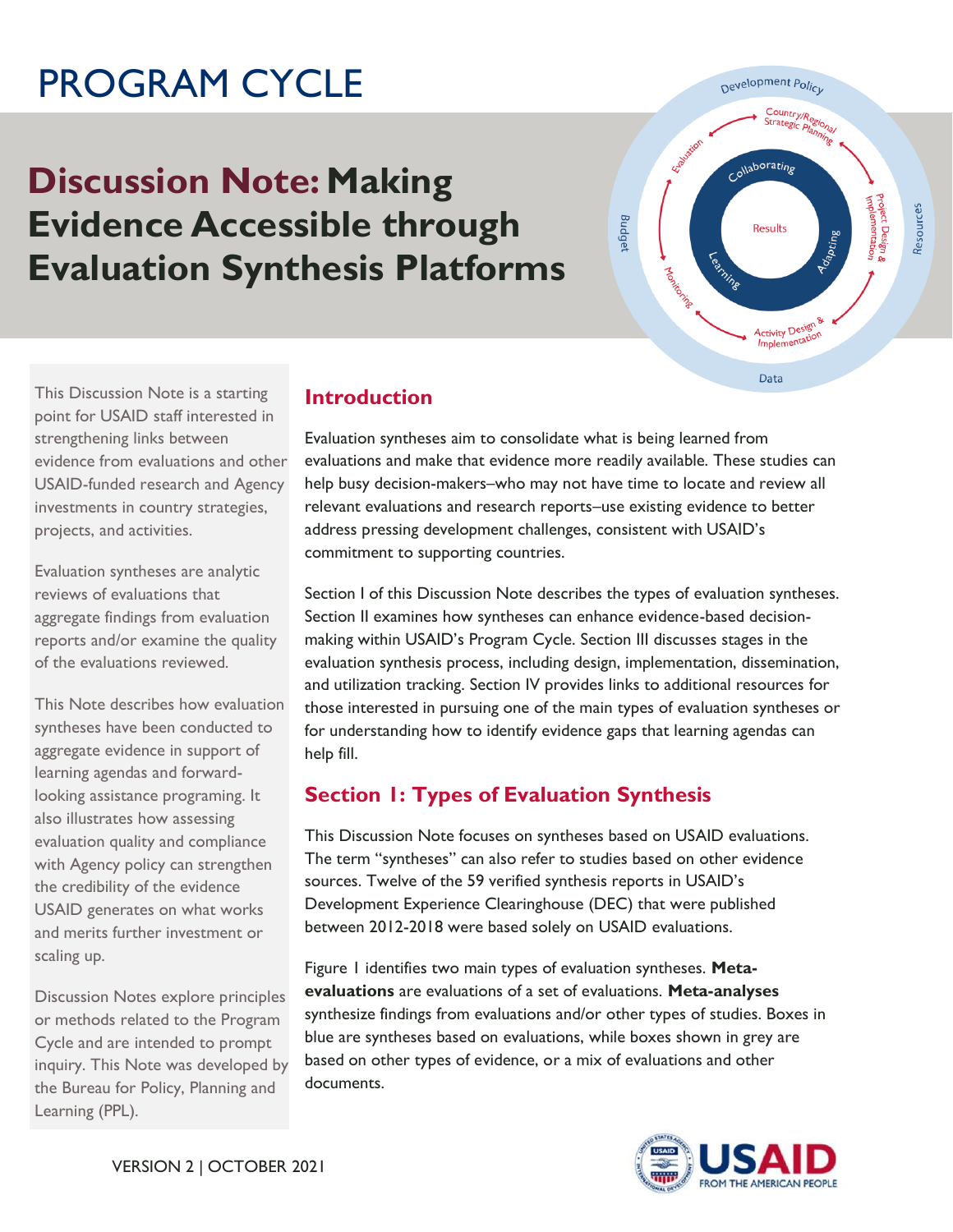# PROGRAM CYCLE

## **Discussion Note: Making Evidence Accessible through Evaluation Synthesis Platforms**



 This Discussion Note is a starting point for USAID staff interested in evidence from evaluations and other USAID-funded research and Agency investments in country strategies, projects, and activities. strengthening links between

Evaluation syntheses are analytic reviews of evaluations that aggregate findings from evaluation reports and/or examine the quality of the evaluations reviewed.

 syntheses have been conducted to looking assistance programing. It also illustrates how assessing evaluation quality and compliance with Agency policy can strengthen and merits further investment or This Note describes how evaluation aggregate evidence in support of learning agendas and forwardthe credibility of the evidence USAID generates on what works scaling up.

 or methods related to the Program Cycle and are intended to prompt inquiry. This Note was developed by the Bureau for Policy, Planning and Learning (PPL). Discussion Notes explore principles

## **Introduction**

 Evaluation syntheses aim to consolidate what is being learned from evaluations and make that evidence more readily available. These studies can help busy decision-makers–who may not have time to locate and review all relevant evaluations and research reports–use existing evidence to better address pressing development challenges, consistent with USAID's commitment to supporting countries.

 evaluation synthesis process, including design, implementation, dissemination, and utilization tracking. Section IV provides links to additional resources for those interested in pursuing one of the main types of evaluation syntheses or for understanding how to identify evidence gaps that learning agendas can Section I of this Discussion Note describes the types of evaluation syntheses. Section II examines how syntheses can enhance evidence-based decisionmaking within USAID's Program Cycle. Section III discusses stages in the help fill.

## **Section 1: Types of Evaluation Synthesis**

This Discussion Note focuses on syntheses based on USAID evaluations. The term "syntheses" can also refer to studies based on other evidence sources. Twelve of the 59 verified synthesis reports in USAID's Development Experience Clearinghouse (DEC) that were published between 2012-2018 were based solely on USAID evaluations.

 **evaluations** are evaluations of a set of evaluations. **Meta-analyses**  synthesize findings from evaluations and/or other types of studies. Boxes in based on other types of evidence, or a mix of evaluations and other Figure 1 identifies two main types of evaluation syntheses. **Meta**blue are syntheses based on evaluations, while boxes shown in grey are documents.

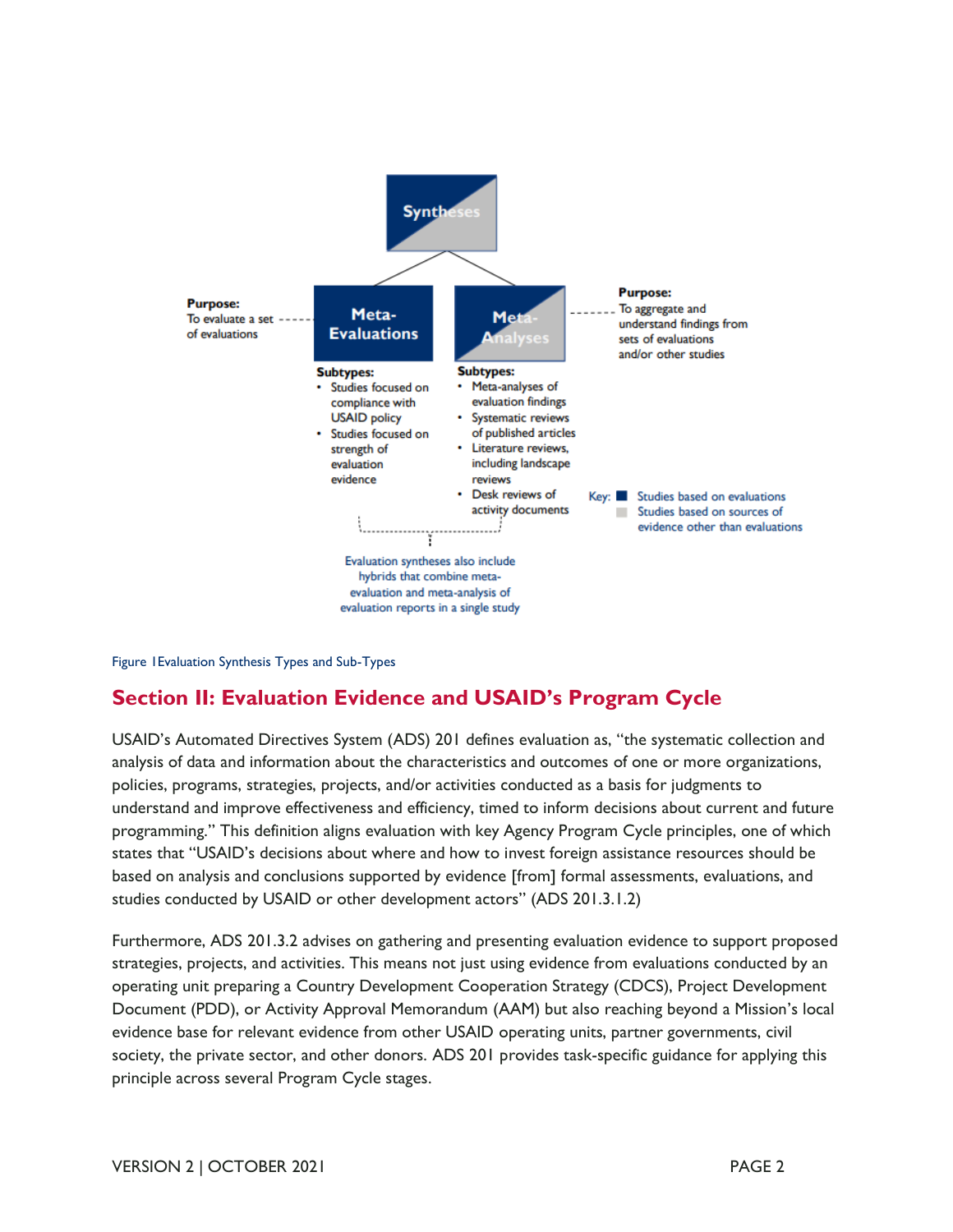

Figure 1Evaluation Synthesis Types and Sub-Types

## **Section II: Evaluation Evidence and USAID's Program Cycle**

USAID's Automated Directives System (ADS) 201 defines evaluation as, "the systematic collection and analysis of data and information about the characteristics and outcomes of one or more organizations, policies, programs, strategies, projects, and/or activities conducted as a basis for judgments to understand and improve effectiveness and efficiency, timed to inform decisions about current and future programming." This definition aligns evaluation with key Agency Program Cycle principles, one of which states that "USAID's decisions about where and how to invest foreign assistance resources should be based on analysis and conclusions supported by evidence [from] formal assessments, evaluations, and studies conducted by USAID or other development actors" (ADS 201.3.1.2)

 Furthermore, ADS 201.3.2 advises on gathering and presenting evaluation evidence to support proposed strategies, projects, and activities. This means not just using evidence from evaluations conducted by an operating unit preparing a Country Development Cooperation Strategy (CDCS), Project Development Document (PDD), or Activity Approval Memorandum (AAM) but also reaching beyond a Mission's local evidence base for relevant evidence from other USAID operating units, partner governments, civil society, the private sector, and other donors. ADS 201 provides task-specific guidance for applying this principle across several Program Cycle stages.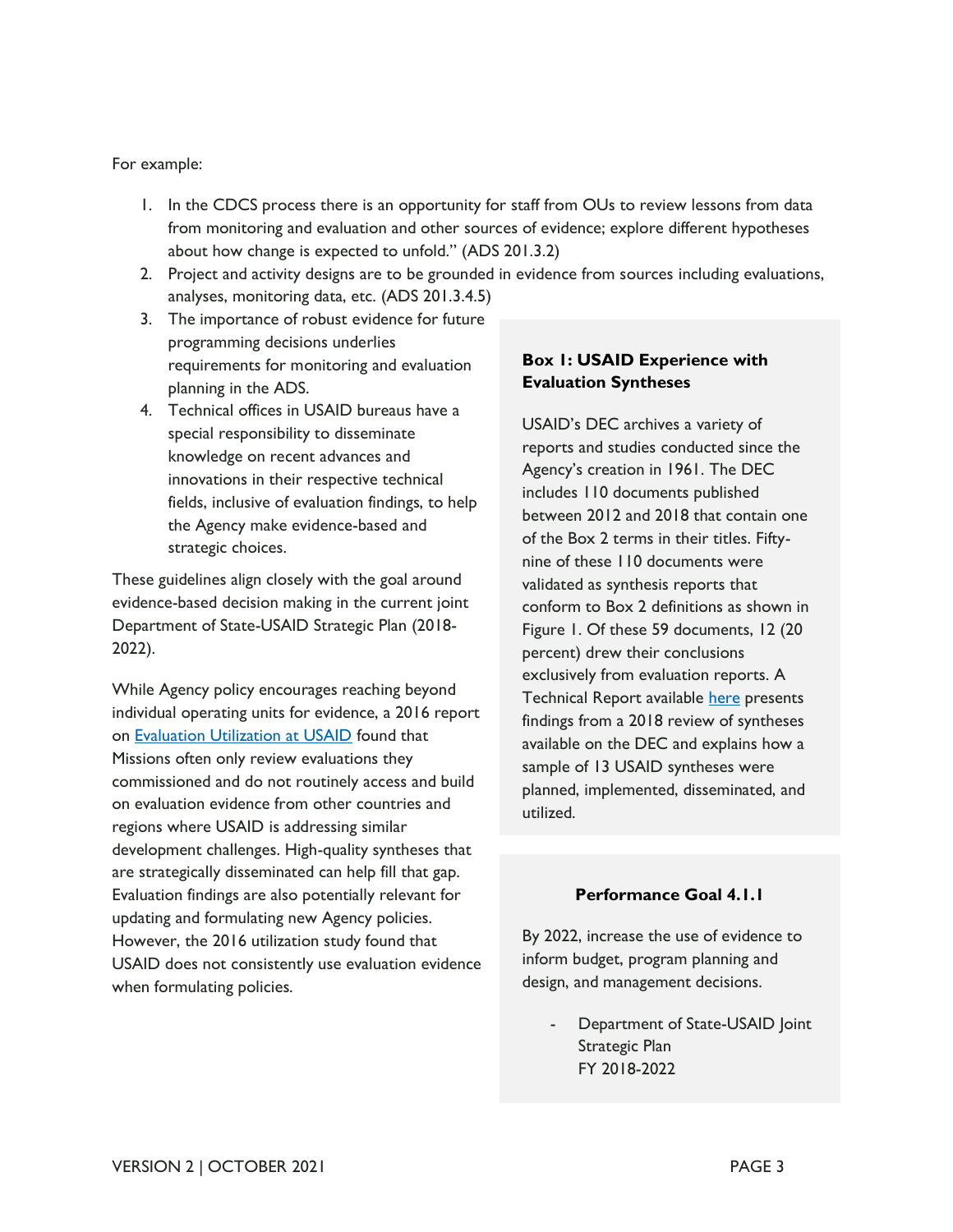#### For example:

- 1. In the CDCS process there is an opportunity for staff from OUs to review lessons from data from monitoring and evaluation and other sources of evidence; explore different hypotheses about how change is expected to unfold." (ADS 201.3.2)
- 2. Project and activity designs are to be grounded in evidence from sources including evaluations, analyses, monitoring data, etc. (ADS 201.3.4.5)
- 3. The importance of robust evidence for future requirements for monitoring and evaluation programming decisions underlies planning in the ADS.
- special responsibility to disseminate fields, inclusive of evaluation findings, to help the Agency make evidence-based and 4. Technical offices in USAID bureaus have a knowledge on recent advances and innovations in their respective technical strategic choices.

 These guidelines align closely with the goal around evidence-based decision making in the current joint Department of State-USAID Strategic Plan (2018- 2022).

While Agency policy encourages reaching beyond individual operating units for evidence, a 2016 report on [Evaluation Utilization at USAID](https://pdf.usaid.gov/pdf_docs/PA00KXVT.pdf) found that Missions often only review evaluations they commissioned and do not routinely access and build on evaluation evidence from other countries and regions where USAID is addressing similar development challenges. High-quality syntheses that are strategically disseminated can help fill that gap. Evaluation findings are also potentially relevant for updating and formulating new Agency policies. However, the 2016 utilization study found that USAID does not consistently use evaluation evidence when formulating policies.

#### **Box 1: USAID Experience with Evaluation Syntheses**

USAID's DEC archives a variety of reports and studies conducted since the Agency's creation in 1961. The DEC includes 110 documents published between 2012 and 2018 that contain one of the Box 2 terms in their titles. Fiftynine of these 110 documents were validated as synthesis reports that conform to Box 2 definitions as shown in Figure 1. Of these 59 documents, 12 (20 percent) drew their conclusions exclusively from evaluation reports. A Technical Report available [here](https://usaidlearninglab.org/library/learning-evaluation-syntheses) presents findings from a 2018 review of syntheses available on the DEC and explains how a sample of 13 USAID syntheses were planned, implemented, disseminated, and utilized.

#### **Performance Goal 4.1.1**

 By 2022, increase the use of evidence to inform budget, program planning and design, and management decisions.

Department of State-USAID Joint Strategic Plan FY 2018-2022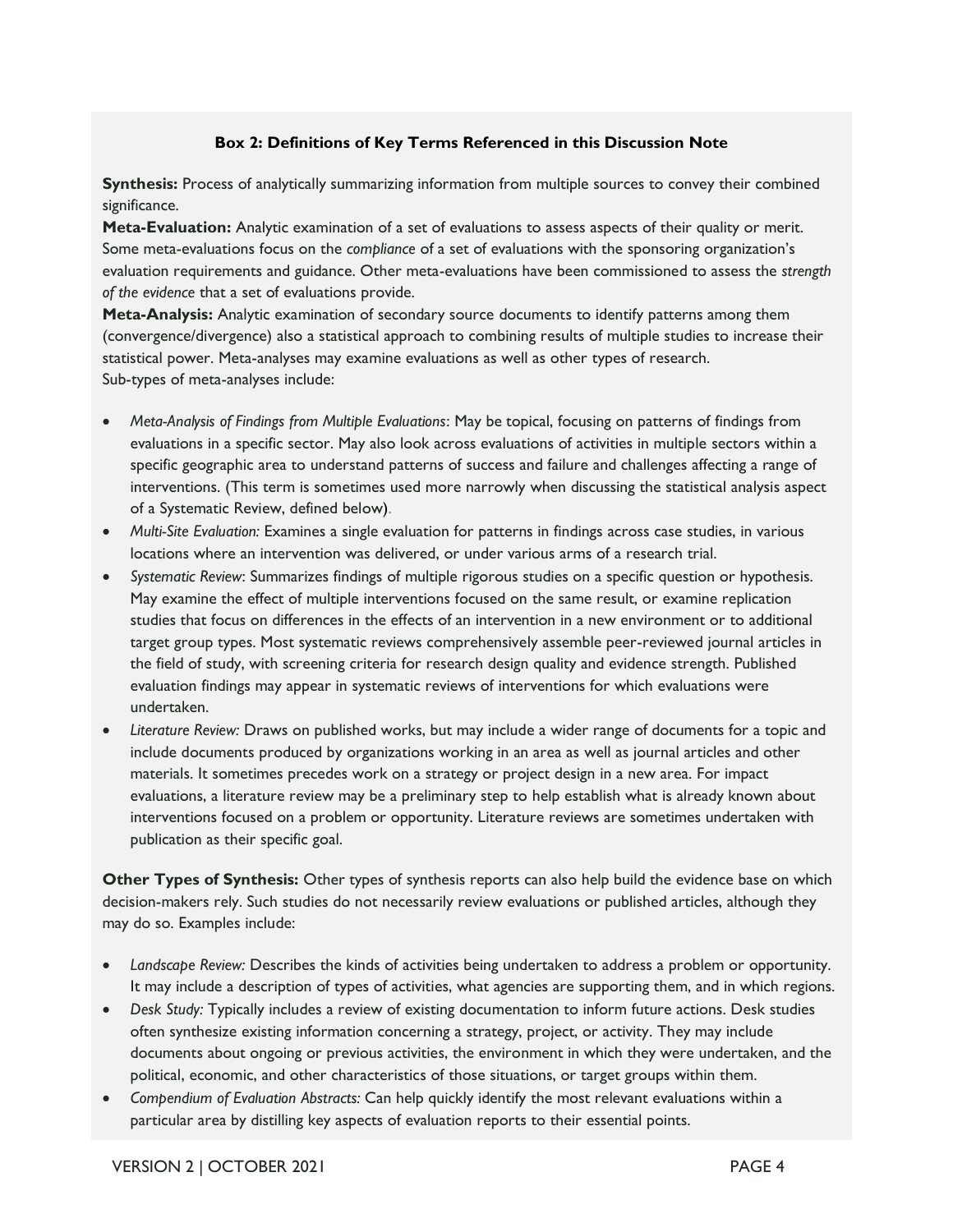#### **Box 2: Definitions of Key Terms Referenced in this Discussion Note**

**Synthesis:** Process of analytically summarizing information from multiple sources to convey their combined significance.

**Meta-Evaluation:** Analytic examination of a set of evaluations to assess aspects of their quality or merit. Some meta-evaluations focus on the *compliance* of a set of evaluations with the sponsoring organization's evaluation requirements and guidance. Other meta-evaluations have been commissioned to assess the *strength of the evidence* that a set of evaluations provide.

**Meta-Analysis:** Analytic examination of secondary source documents to identify patterns among them (convergence/divergence) also a statistical approach to combining results of multiple studies to increase their statistical power. Meta-analyses may examine evaluations as well as other types of research. Sub-types of meta-analyses include:

- Meta-Analysis of Findings from Multiple Evaluations: May be topical, focusing on patterns of findings from evaluations in a specific sector. May also look across evaluations of activities in multiple sectors within a specific geographic area to understand patterns of success and failure and challenges affecting a range of interventions. (This term is sometimes used more narrowly when discussing the statistical analysis aspect of a Systematic Review, defined below).
- *Multi-Site Evaluation: Examines a single evaluation for patterns in findings across case studies, in various* locations where an intervention was delivered, or under various arms of a research trial.
- • *Systematic Review*: Summarizes findings of multiple rigorous studies on a specific question or hypothesis. May examine the effect of multiple interventions focused on the same result, or examine replication studies that focus on differences in the effects of an intervention in a new environment or to additional target group types. Most systematic reviews comprehensively assemble peer-reviewed journal articles in the field of study, with screening criteria for research design quality and evidence strength. Published evaluation findings may appear in systematic reviews of interventions for which evaluations were undertaken.
- *Literature Review:* Draws on published works, but may include a wider range of documents for a topic and include documents produced by organizations working in an area as well as journal articles and other materials. It sometimes precedes work on a strategy or project design in a new area. For impact evaluations, a literature review may be a preliminary step to help establish what is already known about interventions focused on a problem or opportunity. Literature reviews are sometimes undertaken with publication as their specific goal.

Other Types of Synthesis: Other types of synthesis reports can also help build the evidence base on which decision-makers rely. Such studies do not necessarily review evaluations or published articles, although they may do so. Examples include:

- • *Landscape Review:* Describes the kinds of activities being undertaken to address a problem or opportunity. It may include a description of types of activities, what agencies are supporting them, and in which regions.
- Desk Study: Typically includes a review of existing documentation to inform future actions. Desk studies often synthesize existing information concerning a strategy, project, or activity. They may include documents about ongoing or previous activities, the environment in which they were undertaken, and the political, economic, and other characteristics of those situations, or target groups within them.
- Compendium of Evaluation Abstracts: Can help quickly identify the most relevant evaluations within a particular area by distilling key aspects of evaluation reports to their essential points.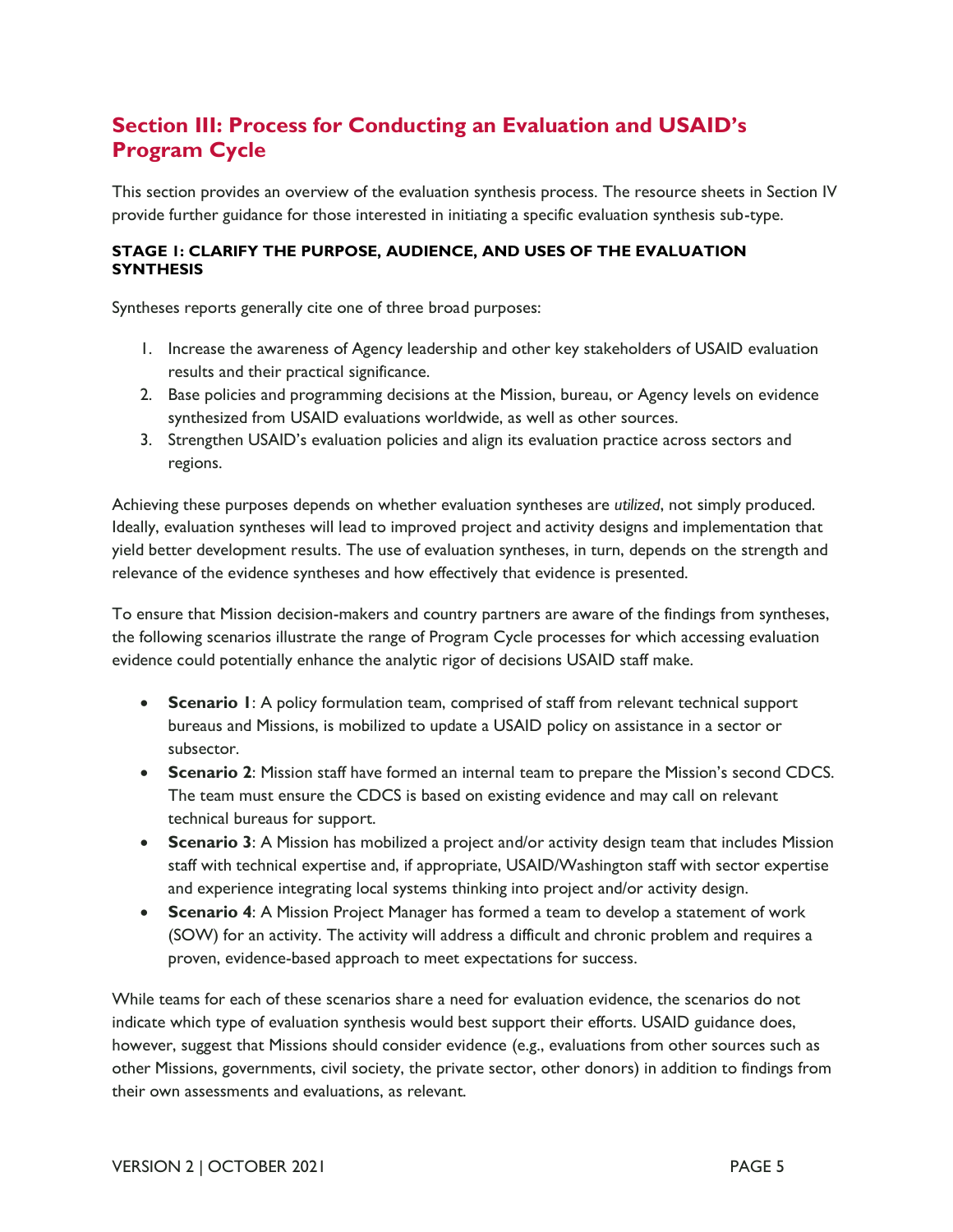## **Section III: Process for Conducting an Evaluation and USAID's Program Cycle**

 provide further guidance for those interested in initiating a specific evaluation synthesis sub-type. This section provides an overview of the evaluation synthesis process. The resource sheets in Section IV

#### **STAGE 1: CLARIFY THE PURPOSE, AUDIENCE, AND USES OF THE EVALUATION SYNTHESIS**

Syntheses reports generally cite one of three broad purposes:

- 1. Increase the awareness of Agency leadership and other key stakeholders of USAID evaluation results and their practical significance.
- 2. Base policies and programming decisions at the Mission, bureau, or Agency levels on evidence synthesized from USAID evaluations worldwide, as well as other sources.
- 3. Strengthen USAID's evaluation policies and align its evaluation practice across sectors and regions.

 Achieving these purposes depends on whether evaluation syntheses are *utilized*, not simply produced. Ideally, evaluation syntheses will lead to improved project and activity designs and implementation that yield better development results. The use of evaluation syntheses, in turn, depends on the strength and relevance of the evidence syntheses and how effectively that evidence is presented.

 To ensure that Mission decision-makers and country partners are aware of the findings from syntheses, evidence could potentially enhance the analytic rigor of decisions USAID staff make. the following scenarios illustrate the range of Program Cycle processes for which accessing evaluation

- • **Scenario 1**: A policy formulation team, comprised of staff from relevant technical support bureaus and Missions, is mobilized to update a USAID policy on assistance in a sector or subsector.
- • **Scenario 2**: Mission staff have formed an internal team to prepare the Mission's second CDCS. The team must ensure the CDCS is based on existing evidence and may call on relevant technical bureaus for support.
- • **Scenario 3**: A Mission has mobilized a project and/or activity design team that includes Mission and experience integrating local systems thinking into project and/or activity design. staff with technical expertise and, if appropriate, USAID/Washington staff with sector expertise
- • **Scenario 4**: A Mission Project Manager has formed a team to develop a statement of work (SOW) for an activity. The activity will address a difficult and chronic problem and requires a proven, evidence-based approach to meet expectations for success.

 While teams for each of these scenarios share a need for evaluation evidence, the scenarios do not indicate which type of evaluation synthesis would best support their efforts. USAID guidance does, however, suggest that Missions should consider evidence (e.g., evaluations from other sources such as other Missions, governments, civil society, the private sector, other donors) in addition to findings from their own assessments and evaluations, as relevant.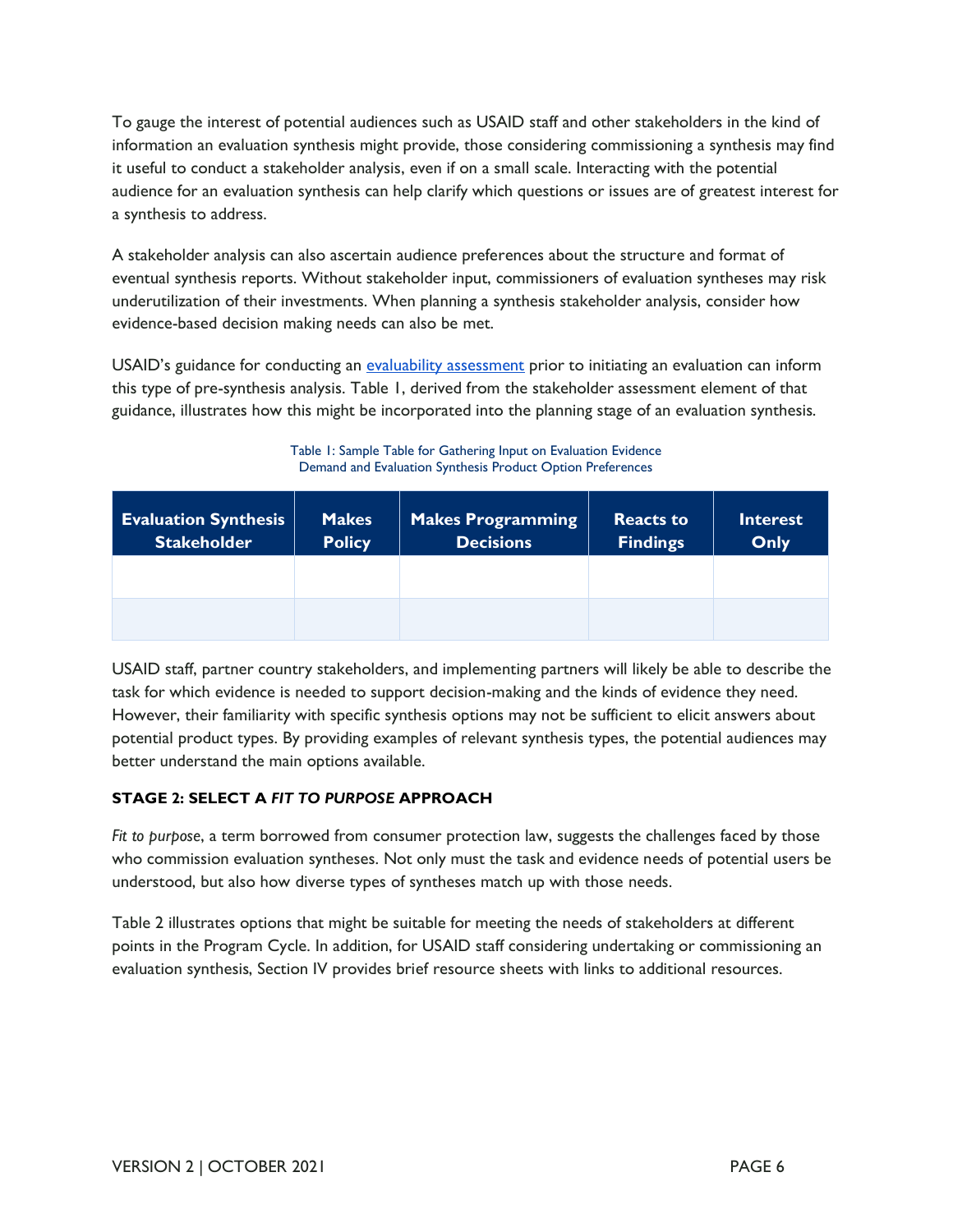To gauge the interest of potential audiences such as USAID staff and other stakeholders in the kind of information an evaluation synthesis might provide, those considering commissioning a synthesis may find it useful to conduct a stakeholder analysis, even if on a small scale. Interacting with the potential audience for an evaluation synthesis can help clarify which questions or issues are of greatest interest for a synthesis to address.

 A stakeholder analysis can also ascertain audience preferences about the structure and format of eventual synthesis reports. Without stakeholder input, commissioners of evaluation syntheses may risk underutilization of their investments. When planning a synthesis stakeholder analysis, consider how evidence-based decision making needs can also be met.

USAID's guidance for conducting an [evaluability assessment](https://usaidlearninglab.org/library/conducting-evaluability-assessment-usaid-evaluations) prior to initiating an evaluation can inform this type of pre-synthesis analysis. Table 1, derived from the stakeholder assessment element of that guidance, illustrates how this might be incorporated into the planning stage of an evaluation synthesis.

Table 1: Sample Table for Gathering Input on Evaluation Evidence Demand and Evaluation Synthesis Product Option Preferences

| <b>Evaluation Synthesis</b><br><b>Stakeholder</b> | <b>Makes</b><br><b>Policy</b> | <b>Makes Programming</b><br><b>Decisions</b> | <b>Reacts to</b><br><b>Findings</b> | Interest<br>Only |
|---------------------------------------------------|-------------------------------|----------------------------------------------|-------------------------------------|------------------|
|                                                   |                               |                                              |                                     |                  |
|                                                   |                               |                                              |                                     |                  |

 USAID staff, partner country stakeholders, and implementing partners will likely be able to describe the task for which evidence is needed to support decision-making and the kinds of evidence they need. However, their familiarity with specific synthesis options may not be sufficient to elicit answers about potential product types. By providing examples of relevant synthesis types, the potential audiences may better understand the main options available.

#### **STAGE 2: SELECT A** *FIT TO PURPOSE* **APPROACH**

Fit to purpose, a term borrowed from consumer protection law, suggests the challenges faced by those who commission evaluation syntheses. Not only must the task and evidence needs of potential users be understood, but also how diverse types of syntheses match up with those needs.

 Table 2 illustrates options that might be suitable for meeting the needs of stakeholders at different points in the Program Cycle. In addition, for USAID staff considering undertaking or commissioning an evaluation synthesis, Section IV provides brief resource sheets with links to additional resources.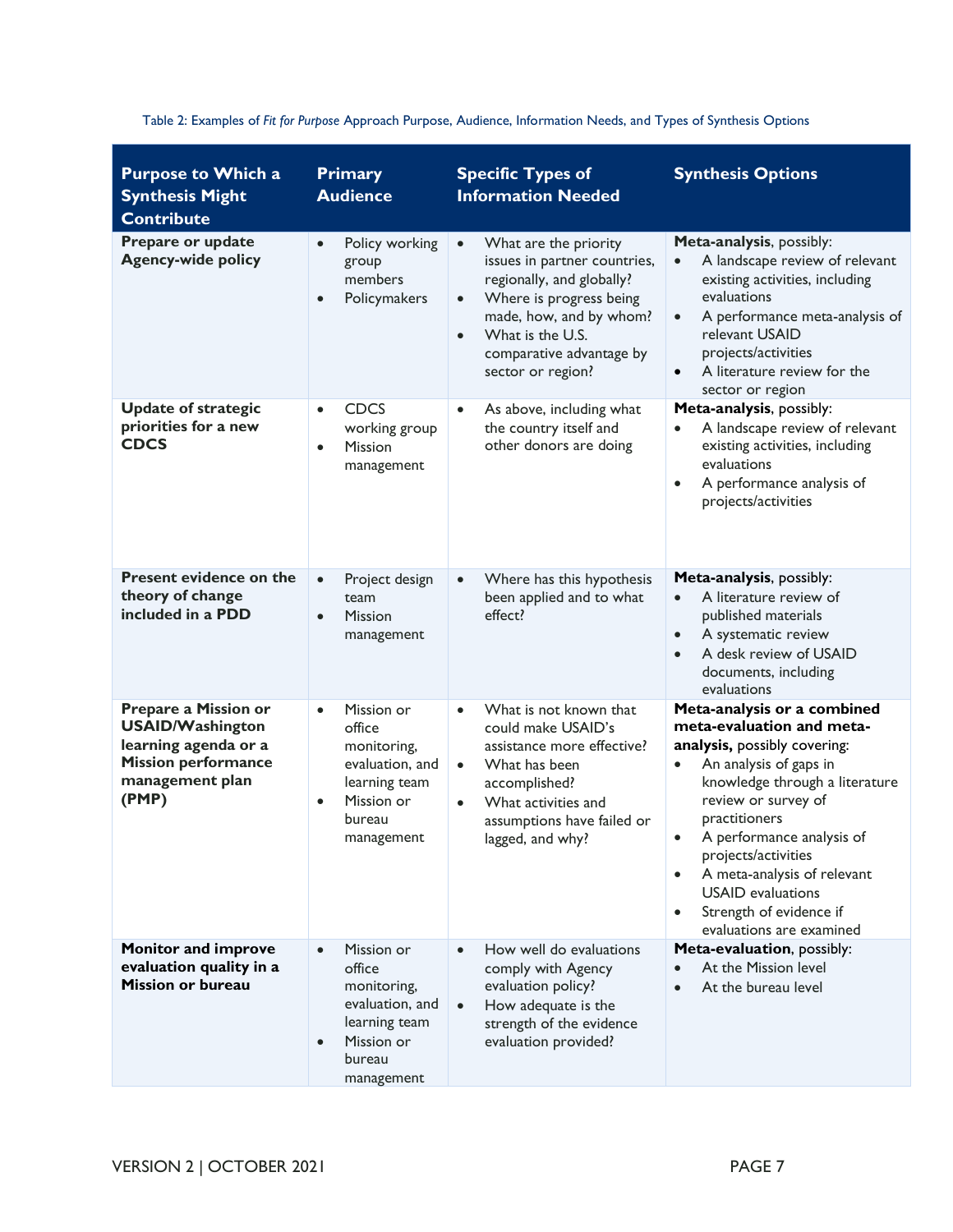| <b>Purpose to Which a</b><br><b>Synthesis Might</b><br><b>Contribute</b>                                                          | <b>Primary</b><br><b>Audience</b>                                                                                                       | <b>Specific Types of</b><br><b>Information Needed</b>                                                                                                                                                                                                | <b>Synthesis Options</b>                                                                                                                                                                                                                                                                                                                                                                                               |
|-----------------------------------------------------------------------------------------------------------------------------------|-----------------------------------------------------------------------------------------------------------------------------------------|------------------------------------------------------------------------------------------------------------------------------------------------------------------------------------------------------------------------------------------------------|------------------------------------------------------------------------------------------------------------------------------------------------------------------------------------------------------------------------------------------------------------------------------------------------------------------------------------------------------------------------------------------------------------------------|
| Prepare or update<br><b>Agency-wide policy</b>                                                                                    | Policy working<br>$\bullet$<br>group<br>members<br>Policymakers<br>$\bullet$                                                            | What are the priority<br>$\bullet$<br>issues in partner countries,<br>regionally, and globally?<br>Where is progress being<br>$\bullet$<br>made, how, and by whom?<br>What is the U.S.<br>$\bullet$<br>comparative advantage by<br>sector or region? | Meta-analysis, possibly:<br>A landscape review of relevant<br>existing activities, including<br>evaluations<br>A performance meta-analysis of<br>$\bullet$<br>relevant USAID<br>projects/activities<br>A literature review for the<br>$\bullet$<br>sector or region                                                                                                                                                    |
| <b>Update of strategic</b><br>priorities for a new<br><b>CDCS</b>                                                                 | <b>CDCS</b><br>$\bullet$<br>working group<br><b>Mission</b><br>$\bullet$<br>management                                                  | As above, including what<br>$\bullet$<br>the country itself and<br>other donors are doing                                                                                                                                                            | Meta-analysis, possibly:<br>A landscape review of relevant<br>$\bullet$<br>existing activities, including<br>evaluations<br>A performance analysis of<br>$\bullet$<br>projects/activities                                                                                                                                                                                                                              |
| Present evidence on the<br>theory of change<br>included in a PDD                                                                  | Project design<br>$\bullet$<br>team<br><b>Mission</b><br>$\bullet$<br>management                                                        | Where has this hypothesis<br>$\bullet$<br>been applied and to what<br>effect?                                                                                                                                                                        | Meta-analysis, possibly:<br>A literature review of<br>$\bullet$<br>published materials<br>A systematic review<br>$\bullet$<br>A desk review of USAID<br>$\bullet$<br>documents, including<br>evaluations                                                                                                                                                                                                               |
| Prepare a Mission or<br><b>USAID/Washington</b><br>learning agenda or a<br><b>Mission performance</b><br>management plan<br>(PMP) | Mission or<br>$\bullet$<br>office<br>monitoring,<br>evaluation, and<br>learning team<br>Mission or<br>$\bullet$<br>bureau<br>management | What is not known that<br>$\bullet$<br>could make USAID's<br>assistance more effective?<br>What has been<br>$\bullet$<br>accomplished?<br>What activities and<br>$\bullet$<br>assumptions have failed or<br>lagged, and why?                         | Meta-analysis or a combined<br>meta-evaluation and meta-<br>analysis, possibly covering:<br>An analysis of gaps in<br>$\bullet$<br>knowledge through a literature<br>review or survey of<br>practitioners<br>A performance analysis of<br>$\bullet$<br>projects/activities<br>A meta-analysis of relevant<br>$\bullet$<br><b>USAID</b> evaluations<br>Strength of evidence if<br>$\bullet$<br>evaluations are examined |
| <b>Monitor and improve</b><br>evaluation quality in a<br><b>Mission or bureau</b>                                                 | Mission or<br>$\bullet$<br>office<br>monitoring,<br>evaluation, and<br>learning team<br>Mission or<br>$\bullet$<br>bureau<br>management | How well do evaluations<br>$\bullet$<br>comply with Agency<br>evaluation policy?<br>How adequate is the<br>$\bullet$<br>strength of the evidence<br>evaluation provided?                                                                             | Meta-evaluation, possibly:<br>At the Mission level<br>$\bullet$<br>At the bureau level                                                                                                                                                                                                                                                                                                                                 |

Table 2: Examples of *Fit for Purpose* Approach Purpose, Audience, Information Needs, and Types of Synthesis Options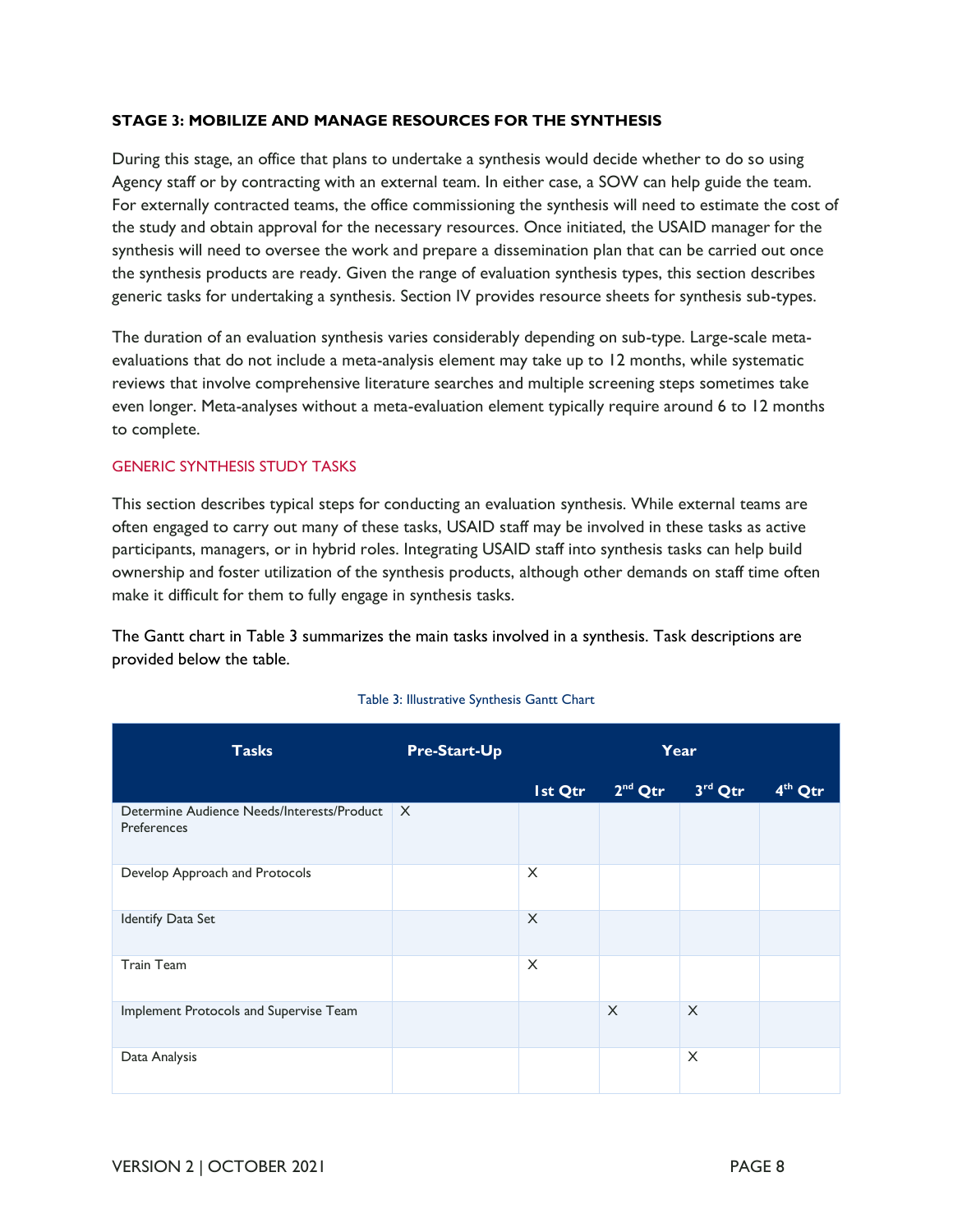#### **STAGE 3: MOBILIZE AND MANAGE RESOURCES FOR THE SYNTHESIS**

 During this stage, an office that plans to undertake a synthesis would decide whether to do so using Agency staff or by contracting with an external team. In either case, a SOW can help guide the team. For externally contracted teams, the office commissioning the synthesis will need to estimate the cost of the study and obtain approval for the necessary resources. Once initiated, the USAID manager for the synthesis will need to oversee the work and prepare a dissemination plan that can be carried out once generic tasks for undertaking a synthesis. Section IV provides resource sheets for synthesis sub-types. the synthesis products are ready. Given the range of evaluation synthesis types, this section describes

 The duration of an evaluation synthesis varies considerably depending on sub-type. Large-scale meta- evaluations that do not include a meta-analysis element may take up to 12 months, while systematic reviews that involve comprehensive literature searches and multiple screening steps sometimes take even longer. Meta-analyses without a meta-evaluation element typically require around 6 to 12 months to complete.

#### GENERIC SYNTHESIS STUDY TASKS

 This section describes typical steps for conducting an evaluation synthesis. While external teams are often engaged to carry out many of these tasks, USAID staff may be involved in these tasks as active participants, managers, or in hybrid roles. Integrating USAID staff into synthesis tasks can help build make it difficult for them to fully engage in synthesis tasks. ownership and foster utilization of the synthesis products, although other demands on staff time often

 The Gantt chart in Table 3 summarizes the main tasks involved in a synthesis. Task descriptions are provided below the table.

| <b>Tasks</b>                                              | <b>Pre-Start-Up</b> | Year     |           |          |                     |
|-----------------------------------------------------------|---------------------|----------|-----------|----------|---------------------|
|                                                           |                     | Ist Qtr  | $2nd$ Qtr | 3rd Qtr  | 4 <sup>th</sup> Qtr |
| Determine Audience Needs/Interests/Product<br>Preferences | $\times$            |          |           |          |                     |
| Develop Approach and Protocols                            |                     | $\times$ |           |          |                     |
| Identify Data Set                                         |                     | $\times$ |           |          |                     |
| <b>Train Team</b>                                         |                     | $\times$ |           |          |                     |
| Implement Protocols and Supervise Team                    |                     |          | $\times$  | $\times$ |                     |
| Data Analysis                                             |                     |          |           | $\times$ |                     |

#### Table 3: Illustrative Synthesis Gantt Chart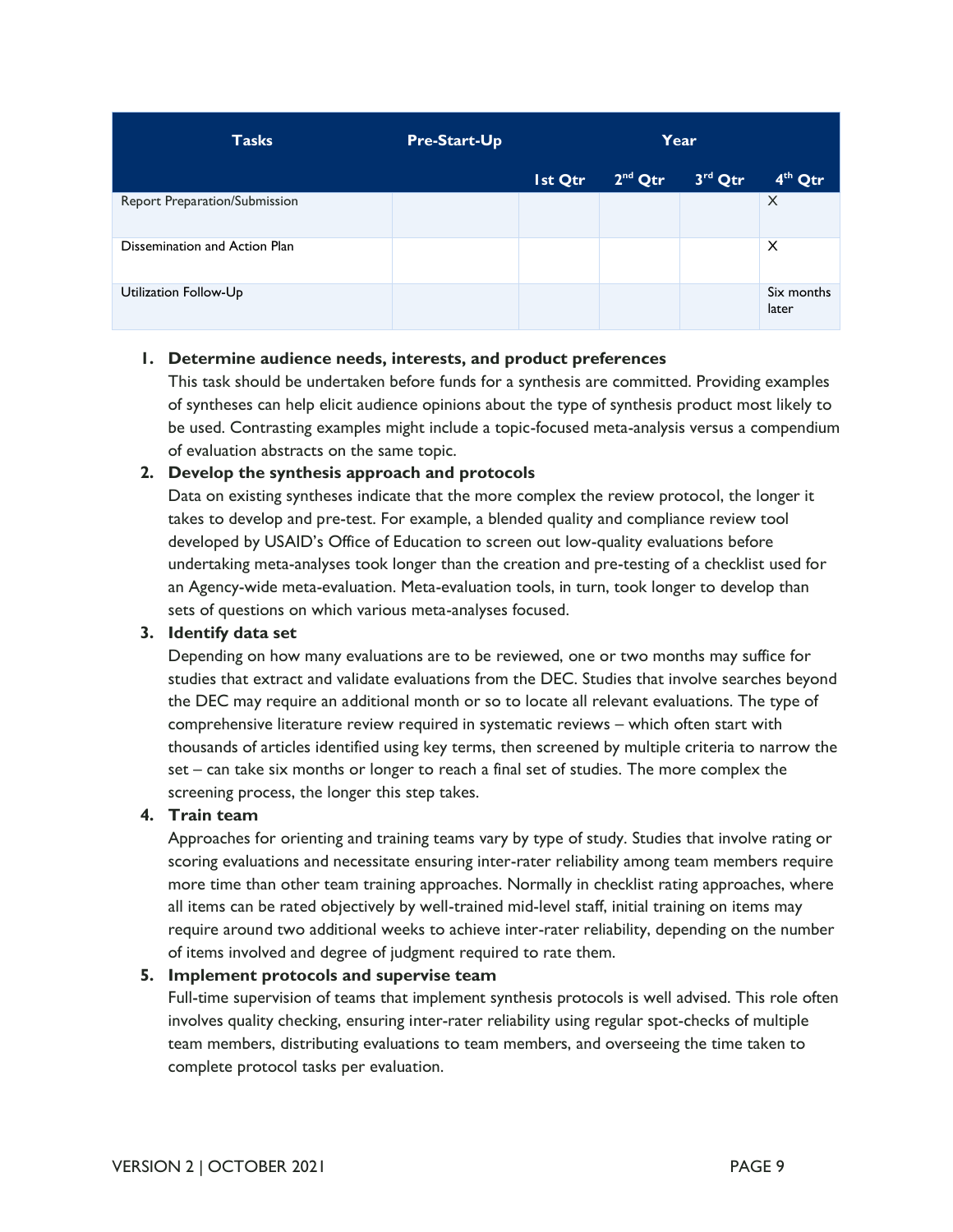| <b>Tasks</b>                  | <b>Pre-Start-Up</b> | Year    |           |         |                     |
|-------------------------------|---------------------|---------|-----------|---------|---------------------|
|                               |                     | Ist Qtr | $2nd$ Qtr | 3rd Qtr | 4 <sup>th</sup> Qtr |
| Report Preparation/Submission |                     |         |           |         | $\times$            |
| Dissemination and Action Plan |                     |         |           |         | $\times$            |
| Utilization Follow-Up         |                     |         |           |         | Six months<br>later |

#### **1. Determine audience needs, interests, and product preferences**

 This task should be undertaken before funds for a synthesis are committed. Providing examples of syntheses can help elicit audience opinions about the type of synthesis product most likely to be used. Contrasting examples might include a topic-focused meta-analysis versus a compendium of evaluation abstracts on the same topic.

#### **2. Develop the synthesis approach and protocols**

 Data on existing syntheses indicate that the more complex the review protocol, the longer it takes to develop and pre-test. For example, a blended quality and compliance review tool developed by USAID's Office of Education to screen out low-quality evaluations before undertaking meta-analyses took longer than the creation and pre-testing of a checklist used for an Agency-wide meta-evaluation. Meta-evaluation tools, in turn, took longer to develop than sets of questions on which various meta-analyses focused.

#### **3. Identify data set**

 Depending on how many evaluations are to be reviewed, one or two months may suffice for studies that extract and validate evaluations from the DEC. Studies that involve searches beyond the DEC may require an additional month or so to locate all relevant evaluations. The type of thousands of articles identified using key terms, then screened by multiple criteria to narrow the set – can take six months or longer to reach a final set of studies. The more complex the screening process, the longer this step takes. comprehensive literature review required in systematic reviews – which often start with

#### **4. Train team**

 Approaches for orienting and training teams vary by type of study. Studies that involve rating or scoring evaluations and necessitate ensuring inter-rater reliability among team members require more time than other team training approaches. Normally in checklist rating approaches, where all items can be rated objectively by well-trained mid-level staff, initial training on items may require around two additional weeks to achieve inter-rater reliability, depending on the number of items involved and degree of judgment required to rate them.

#### **5. Implement protocols and supervise team**

 Full-time supervision of teams that implement synthesis protocols is well advised. This role often involves quality checking, ensuring inter-rater reliability using regular spot-checks of multiple team members, distributing evaluations to team members, and overseeing the time taken to complete protocol tasks per evaluation.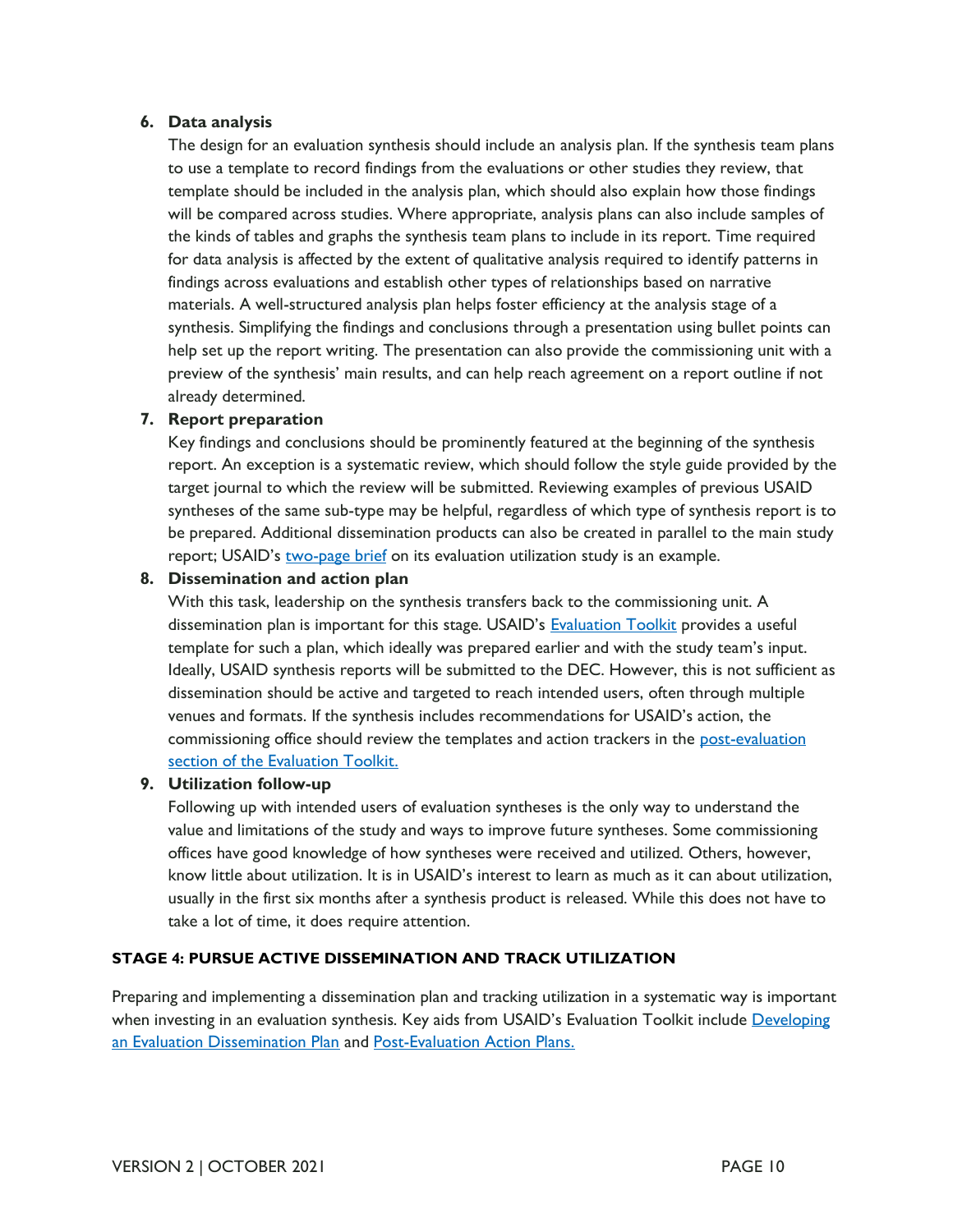#### **6. Data analysis**

 to use a template to record findings from the evaluations or other studies they review, that template should be included in the analysis plan, which should also explain how those findings will be compared across studies. Where appropriate, analysis plans can also include samples of for data analysis is affected by the extent of qualitative analysis required to identify patterns in materials. A well-structured analysis plan helps foster efficiency at the analysis stage of a synthesis. Simplifying the findings and conclusions through a presentation using bullet points can help set up the report writing. The presentation can also provide the commissioning unit with a preview of the synthesis' main results, and can help reach agreement on a report outline if not The design for an evaluation synthesis should include an analysis plan. If the synthesis team plans the kinds of tables and graphs the synthesis team plans to include in its report. Time required findings across evaluations and establish other types of relationships based on narrative already determined.

#### **7. Report preparation**

 Key findings and conclusions should be prominently featured at the beginning of the synthesis report. An exception is a systematic review, which should follow the style guide provided by the target journal to which the review will be submitted. Reviewing examples of previous USAID syntheses of the same sub-type may be helpful, regardless of which type of synthesis report is to be prepared. Additional dissemination products can also be created in parallel to the main study report; USAID's [two-page brief](https://www.usaid.gov/documents/1870/evaluation-utilization-usaid) on its evaluation utilization study is an example.

#### **8. Dissemination and action plan**

 With this task, leadership on the synthesis transfers back to the commissioning unit. A dissemination plan is important for this stage. USAID's **Evaluation Toolkit** provides a useful template for such a plan, which ideally was prepared earlier and with the study team's input. Ideally, USAID synthesis reports will be submitted to the DEC. However, this is not sufficient as dissemination should be active and targeted to reach intended users, often through multiple venues and formats. If the synthesis includes recommendations for USAID's action, the commissioning office should review the templates and action trackers in the [post-evaluation](https://usaidlearninglab.org/evaluation-toolkit?tab=6) [section of the Evaluation Toolkit.](https://usaidlearninglab.org/evaluation-toolkit?tab=6)

#### **9. Utilization follow-up**

 Following up with intended users of evaluation syntheses is the only way to understand the value and limitations of the study and ways to improve future syntheses. Some commissioning offices have good knowledge of how syntheses were received and utilized. Others, however, know little about utilization. It is in USAID's interest to learn as much as it can about utilization, usually in the first six months after a synthesis product is released. While this does not have to take a lot of time, it does require attention.

#### **STAGE 4: PURSUE ACTIVE DISSEMINATION AND TRACK UTILIZATION**

Preparing and implementing a dissemination plan and tracking utilization in a systematic way is important when investing in an evaluation synthesis. Key aids from USAID's Evaluation Toolkit include Developing [an Evaluation Dissemination Plan](https://usaidlearninglab.org/library/developing-evaluation-dissemination-plan-0) and [Post-Evaluation Action Plans.](https://usaidlearninglab.org/library/post-evaluation-action-plans-0)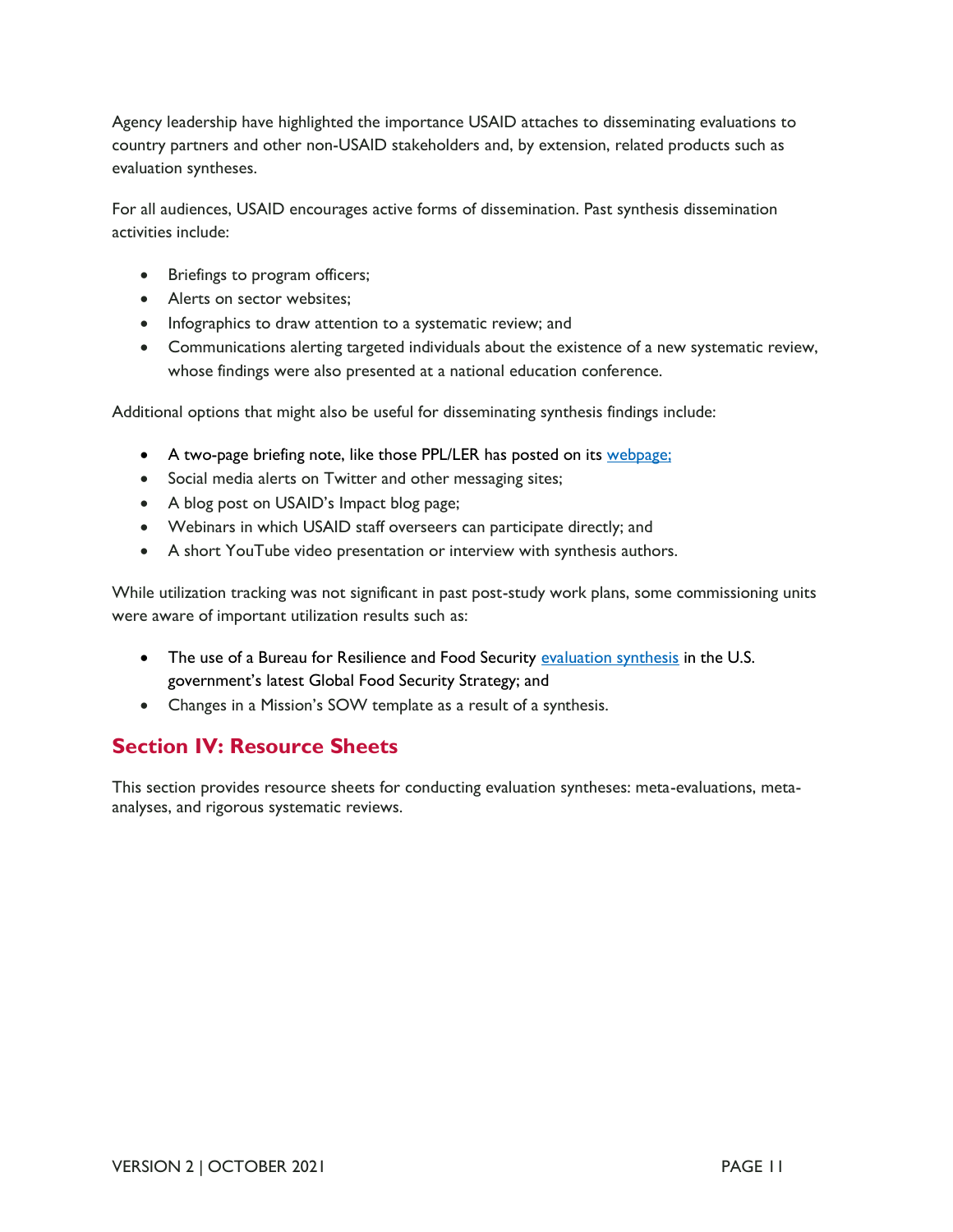Agency leadership have highlighted the importance USAID attaches to disseminating evaluations to country partners and other non-USAID stakeholders and, by extension, related products such as evaluation syntheses.

 For all audiences, USAID encourages active forms of dissemination. Past synthesis dissemination activities include:

- Briefings to program officers;
- Alerts on sector websites:
- Infographics to draw attention to a systematic review; and
- • Communications alerting targeted individuals about the existence of a new systematic review, whose findings were also presented at a national education conference.

Additional options that might also be useful for disseminating synthesis findings include:

- A two-page briefing note, like those PPL/LER has posted on its [webpage;](https://www.usaid.gov/documents/1870/evaluation-utilization-usaid)
- Social media alerts on Twitter and other messaging sites;
- A blog post on USAID's Impact blog page;
- Webinars in which USAID staff overseers can participate directly; and
- A short YouTube video presentation or interview with synthesis authors.

 While utilization tracking was not significant in past post-study work plans, some commissioning units were aware of important utilization results such as:

- The use of a Bureau for Resilience and Food Security [evaluation synthesis](https://www.agrilinks.org/sites/default/files/resource/files/Final%20KDAD%20Evaluation%20Sythesis.pdf) in the U.S. government's latest Global Food Security Strategy; and
- Changes in a Mission's SOW template as a result of a synthesis.

## **Section IV: Resource Sheets**

 This section provides resource sheets for conducting evaluation syntheses: meta-evaluations, meta-analyses, and rigorous systematic reviews.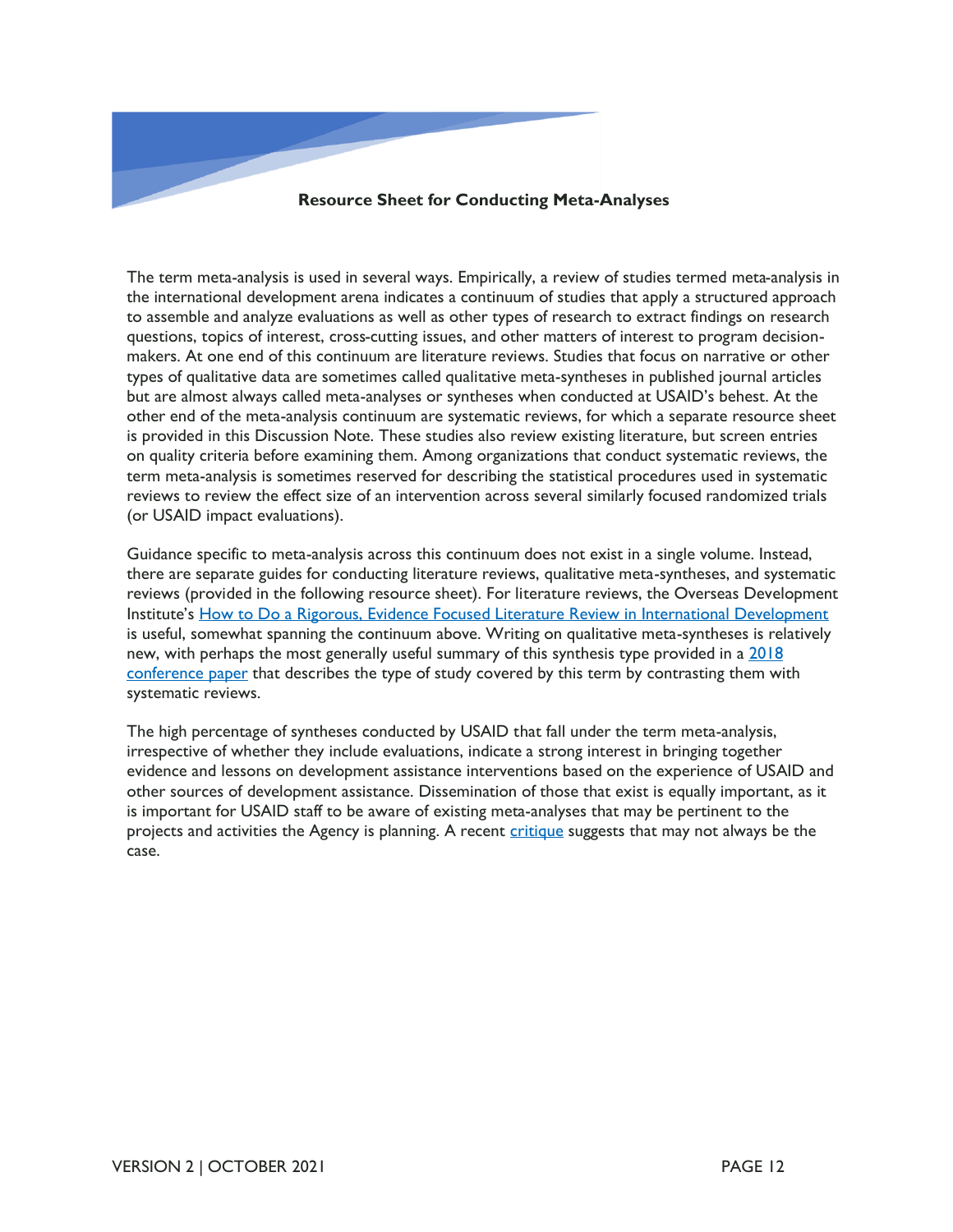

The term meta-analysis is used in several ways. Empirically, a review of studies termed meta-analysis in the international development arena indicates a continuum of studies that apply a structured approach to assemble and analyze evaluations as well as other types of research to extract findings on research questions, topics of interest, cross-cutting issues, and other matters of interest to program decisionmakers. At one end of this continuum are literature reviews. Studies that focus on narrative or other types of qualitative data are sometimes called qualitative meta-syntheses in published journal articles but are almost always called meta-analyses or syntheses when conducted at USAID's behest. At the other end of the meta-analysis continuum are systematic reviews, for which a separate resource sheet is provided in this Discussion Note. These studies also review existing literature, but screen entries on quality criteria before examining them. Among organizations that conduct systematic reviews, the term meta-analysis is sometimes reserved for describing the statistical procedures used in systematic reviews to review the effect size of an intervention across several similarly focused randomized trials (or USAID impact evaluations).

Guidance specific to meta-analysis across this continuum does not exist in a single volume. Instead, there are separate guides for conducting literature reviews, qualitative meta-syntheses, and systematic reviews (provided in the following resource sheet). For literature reviews, the Overseas Development Institute's How to Do a Rigorous, Evidence Focused Literature Review in International Development is useful, somewhat spanning the continuum above. Writing on qualitative meta-syntheses is relatively new, with perhaps the most generally useful summary of this synthesis type provided in a [2018](https://cpb-us-e1.wpmucdn.com/sites.nova.edu/dist/a/4/files/2018/01/An-Introduction-to-Qualitative-Meta-Synthesis-011218-25xjtbb.pdf)  [conference paper](https://cpb-us-e1.wpmucdn.com/sites.nova.edu/dist/a/4/files/2018/01/An-Introduction-to-Qualitative-Meta-Synthesis-011218-25xjtbb.pdf) that describes the type of study covered by this term by contrasting them with systematic reviews.

The high percentage of syntheses conducted by USAID that fall under the term meta-analysis, irrespective of whether they include evaluations, indicate a strong interest in bringing together evidence and lessons on development assistance interventions based on the experience of USAID and other sources of development assistance. Dissemination of those that exist is equally important, as it is important for USAID staff to be aware of existing meta-analyses that may be pertinent to the projects and activities the Agency is planning. A recent [critique](https://www.cgdev.org/blog/usaid-thinks-about-procurement-and-program-design-it-should-keep-evidence-mind) suggests that may not always be the case.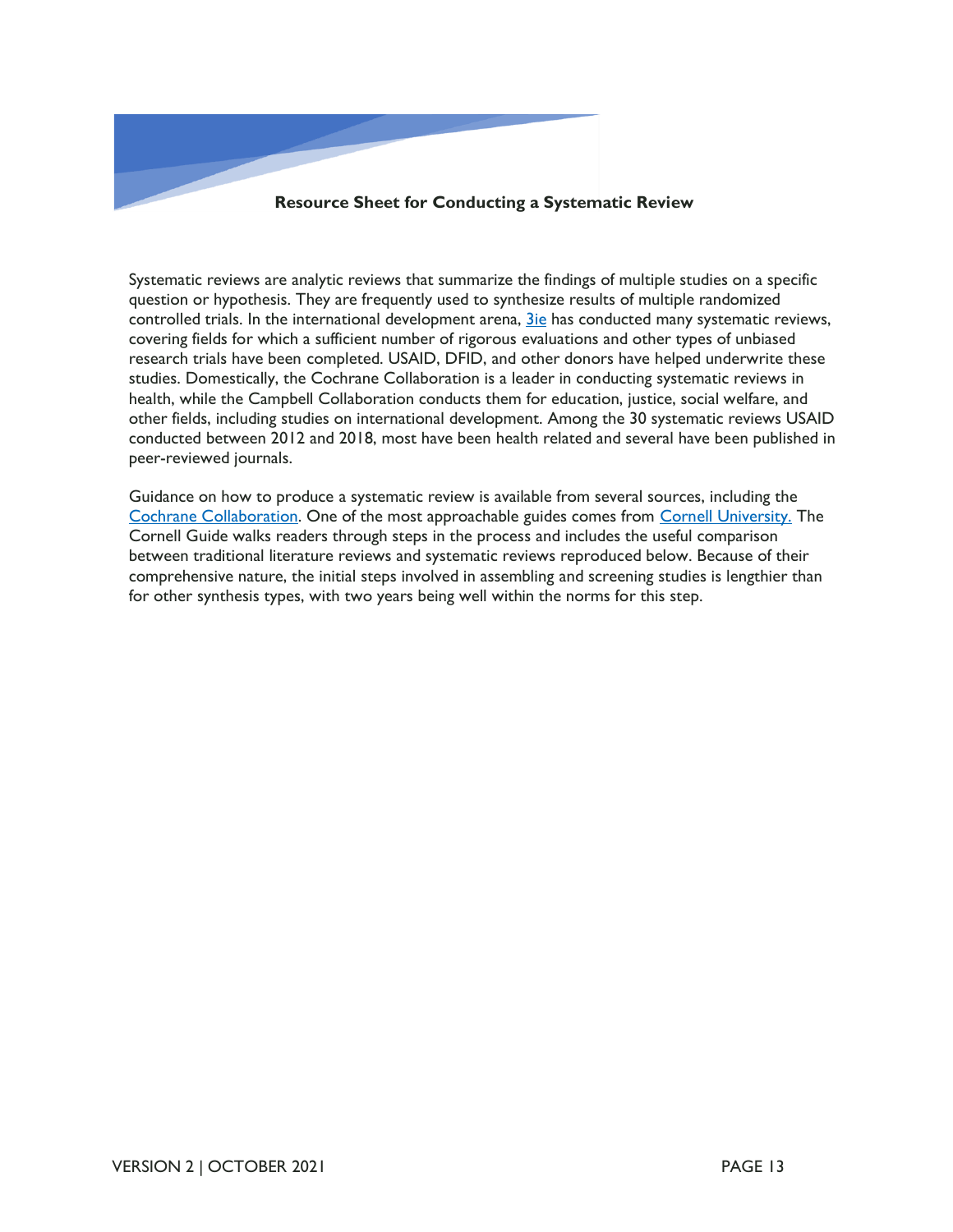

Systematic reviews are analytic reviews that summarize the findings of multiple studies on a specific question or hypothesis. They are frequently used to synthesize results of multiple randomized controlled trials. In the international development arena, [3ie](https://developmentevidence.3ieimpact.org/) has conducted many systematic reviews, covering fields for which a sufficient number of rigorous evaluations and other types of unbiased research trials have been completed. USAID, DFID, and other donors have helped underwrite these studies. Domestically, the Cochrane Collaboration is a leader in conducting systematic reviews in health, while the Campbell Collaboration conducts them for education, justice, social welfare, and other fields, including studies on international development. Among the 30 systematic reviews USAID conducted between 2012 and 2018, most have been health related and several have been published in peer-reviewed journals.

Guidance on how to produce a systematic review is available from several sources, including the [Cochrane Collaboration.](https://training.cochrane.org/handbook/current) One of the most approachable guides comes from [Cornell University.](https://guides.library.cornell.edu/evidence-synthesis/service) The Cornell Guide walks readers through steps in the process and includes the useful comparison between traditional literature reviews and systematic reviews reproduced below. Because of their comprehensive nature, the initial steps involved in assembling and screening studies is lengthier than for other synthesis types, with two years being well within the norms for this step.